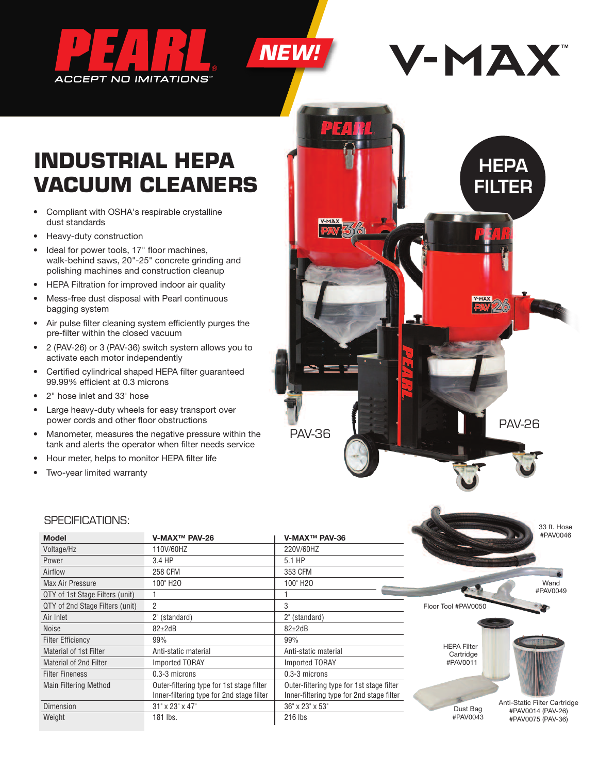



# **INDUSTRIAL HEPA VACUUM CLEANERS**

- Compliant with OSHA's respirable crystalline dust standards
- Heavy-duty construction
- Ideal for power tools, 17" floor machines, walk-behind saws, 20"-25" concrete grinding and polishing machines and construction cleanup
- HEPA Filtration for improved indoor air quality
- Mess-free dust disposal with Pearl continuous bagging system
- Air pulse filter cleaning system efficiently purges the pre-filter within the closed vacuum
- 2 (PAV-26) or 3 (PAV-36) switch system allows you to activate each motor independently
- Certified cylindrical shaped HEPA filter guaranteed 99.99% efficient at 0.3 microns
- 2" hose inlet and 33' hose
- Large heavy-duty wheels for easy transport over power cords and other floor obstructions
- Manometer, measures the negative pressure within the tank and alerts the operator when filter needs service
- Hour meter, helps to monitor HEPA filter life
- Two-year limited warranty



|                                 |                                                                                        |                                                                                        |                     | 33 ft. Hose                                       |
|---------------------------------|----------------------------------------------------------------------------------------|----------------------------------------------------------------------------------------|---------------------|---------------------------------------------------|
| <b>Model</b>                    | V-MAX™ PAV-26                                                                          | V-MAX™ PAV-36                                                                          |                     | #PAV0046                                          |
| Voltage/Hz                      | 110V/60HZ                                                                              | 220V/60HZ                                                                              |                     |                                                   |
| Power                           | 3.4 HP                                                                                 | 5.1 HP                                                                                 |                     |                                                   |
| Airflow                         | <b>258 CFM</b>                                                                         | 353 CFM                                                                                |                     |                                                   |
| Max Air Pressure                | 100" H <sub>20</sub>                                                                   | 100" H <sub>20</sub>                                                                   |                     | Wand                                              |
| QTY of 1st Stage Filters (unit) |                                                                                        |                                                                                        |                     | #PAV0049                                          |
| QTY of 2nd Stage Filters (unit) | 2                                                                                      | 3                                                                                      | Floor Tool #PAV0050 |                                                   |
| Air Inlet                       | 2" (standard)                                                                          | 2" (standard)                                                                          |                     |                                                   |
| Noise                           | $82{\pm}2$ dB                                                                          | $82{\pm}2$ dB                                                                          |                     |                                                   |
| <b>Filter Efficiency</b>        | 99%                                                                                    | 99%                                                                                    | <b>HEPA Filter</b>  |                                                   |
| <b>Material of 1st Filter</b>   | Anti-static material                                                                   | Anti-static material                                                                   | Cartridge           |                                                   |
| <b>Material of 2nd Filter</b>   | <b>Imported TORAY</b>                                                                  | <b>Imported TORAY</b>                                                                  | #PAV0011            |                                                   |
| <b>Filter Fineness</b>          | 0.3-3 microns                                                                          | 0.3-3 microns                                                                          |                     |                                                   |
| <b>Main Filtering Method</b>    | Outer-filtering type for 1st stage filter<br>Inner-filtering type for 2nd stage filter | Outer-filtering type for 1st stage filter<br>Inner-filtering type for 2nd stage filter |                     |                                                   |
| Dimension                       | 31" x 23" x 47"                                                                        | 36" x 23" x 53"                                                                        | Dust Bag            | Anti-Static Filter Cartridge<br>#PAV0014 (PAV-26) |
| Weight                          | 181 lbs.                                                                               | 216 lbs                                                                                | #PAV0043            | #PAV0075 (PAV-36)                                 |

*NEW!*

### SPECIFICATIONS: